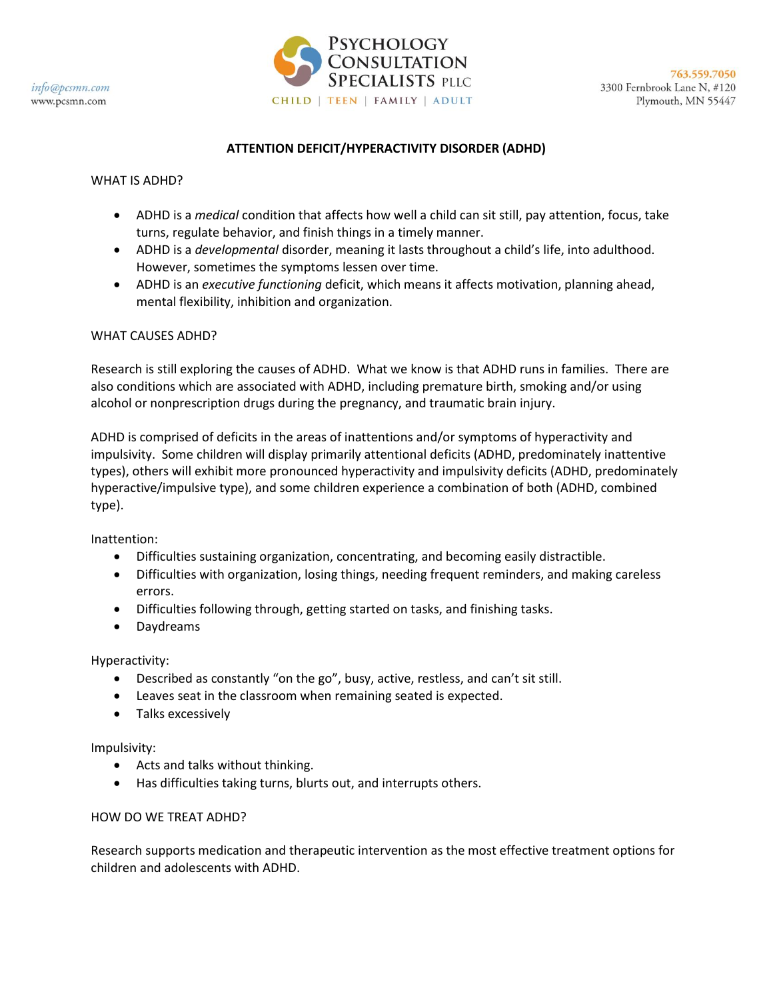

# **ATTENTION DEFICIT/HYPERACTIVITY DISORDER (ADHD)**

### WHAT IS ADHD?

- ADHD is a *medical* condition that affects how well a child can sit still, pay attention, focus, take turns, regulate behavior, and finish things in a timely manner.
- ADHD is a *developmental* disorder, meaning it lasts throughout a child's life, into adulthood. However, sometimes the symptoms lessen over time.
- ADHD is an *executive functioning* deficit, which means it affects motivation, planning ahead, mental flexibility, inhibition and organization.

## WHAT CAUSES ADHD?

Research is still exploring the causes of ADHD. What we know is that ADHD runs in families. There are also conditions which are associated with ADHD, including premature birth, smoking and/or using alcohol or nonprescription drugs during the pregnancy, and traumatic brain injury.

ADHD is comprised of deficits in the areas of inattentions and/or symptoms of hyperactivity and impulsivity. Some children will display primarily attentional deficits (ADHD, predominately inattentive types), others will exhibit more pronounced hyperactivity and impulsivity deficits (ADHD, predominately hyperactive/impulsive type), and some children experience a combination of both (ADHD, combined type).

Inattention:

- Difficulties sustaining organization, concentrating, and becoming easily distractible.
- Difficulties with organization, losing things, needing frequent reminders, and making careless errors.
- Difficulties following through, getting started on tasks, and finishing tasks.
- Daydreams

Hyperactivity:

- Described as constantly "on the go", busy, active, restless, and can't sit still.
- Leaves seat in the classroom when remaining seated is expected.
- Talks excessively

Impulsivity:

- Acts and talks without thinking.
- Has difficulties taking turns, blurts out, and interrupts others.

## HOW DO WE TREAT ADHD?

Research supports medication and therapeutic intervention as the most effective treatment options for children and adolescents with ADHD.